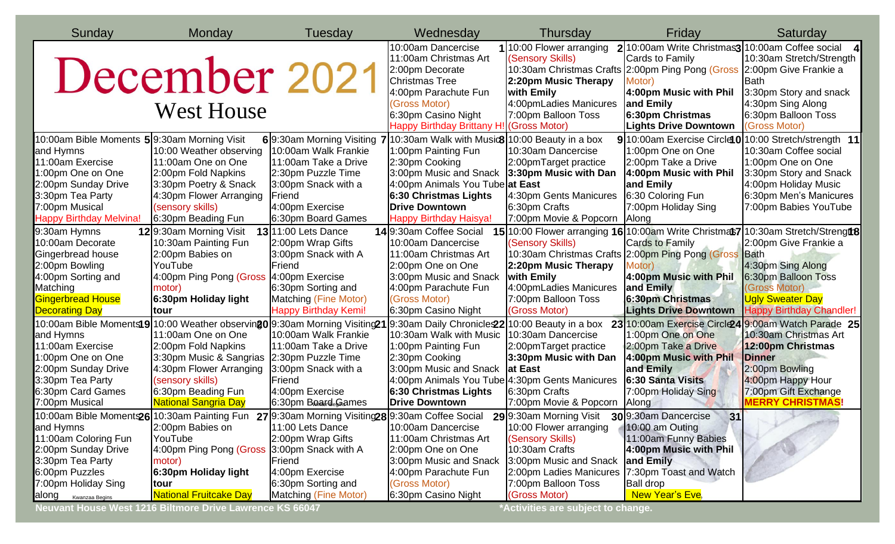| Sunday                                                                                                                  | Monday                                                          | Tuesday                                                                                                                                                                           | Wednesday                                      | Thursday                                              | Friday                                                                 | Saturday                                                                        |
|-------------------------------------------------------------------------------------------------------------------------|-----------------------------------------------------------------|-----------------------------------------------------------------------------------------------------------------------------------------------------------------------------------|------------------------------------------------|-------------------------------------------------------|------------------------------------------------------------------------|---------------------------------------------------------------------------------|
|                                                                                                                         |                                                                 |                                                                                                                                                                                   | 10:00am Dancercise                             | 110:00 Flower arranging                               | 2 10:00am Write Christmas3 10:00am Coffee social                       |                                                                                 |
|                                                                                                                         |                                                                 |                                                                                                                                                                                   | 11:00am Christmas Art                          | (Sensory Skills)                                      | Cards to Family                                                        | 10:30am Stretch/Strength                                                        |
|                                                                                                                         | December 2021                                                   |                                                                                                                                                                                   | 2:00pm Decorate                                |                                                       | 10:30am Christmas Crafts 2:00pm Ping Pong (Gross 2:00pm Give Frankie a |                                                                                 |
|                                                                                                                         |                                                                 |                                                                                                                                                                                   | <b>Christmas Tree</b>                          | 2:20pm Music Therapy                                  | Motor)                                                                 | lBath                                                                           |
|                                                                                                                         |                                                                 |                                                                                                                                                                                   | 4:00pm Parachute Fun                           | <b>with Emily</b>                                     | 4:00pm Music with Phil                                                 | 3:30pm Story and snack                                                          |
|                                                                                                                         | <b>West House</b>                                               |                                                                                                                                                                                   | (Gross Motor)                                  | 4:00pmLadies Manicures                                | and Emily                                                              | 4:30pm Sing Along                                                               |
|                                                                                                                         |                                                                 |                                                                                                                                                                                   | 6:30pm Casino Night                            | 7:00pm Balloon Toss                                   | 6:30pm Christmas                                                       | 6:30pm Balloon Toss                                                             |
|                                                                                                                         |                                                                 |                                                                                                                                                                                   | Happy Birthday Brittany H! (Gross Motor)       |                                                       | <b>Lights Drive Downtown</b>                                           | (Gross Motor)                                                                   |
| 10:00am Bible Moments 59:30am Morning Visit                                                                             |                                                                 | 69:30am Morning Visiting                                                                                                                                                          | 10:30am Walk with Music8 10:00 Beauty in a box |                                                       |                                                                        | 910:00am Exercise Circle 0 10:00 Stretch/strength 11                            |
| and Hymns                                                                                                               | 10:00 Weather observing                                         | 10:00am Walk Frankie                                                                                                                                                              | 1:00pm Painting Fun                            | 10:30am Dancercise                                    | 1:00pm One on One                                                      | 10:30am Coffee social                                                           |
| 11:00am Exercise                                                                                                        | 11:00am One on One                                              | 11:00am Take a Drive                                                                                                                                                              | 2:30pm Cooking                                 | 2:00pmTarget practice                                 | 2:00pm Take a Drive                                                    | 1:00pm One on One                                                               |
| 1:00pm One on One                                                                                                       | 2:00pm Fold Napkins                                             | 2:30pm Puzzle Time                                                                                                                                                                | 3:00pm Music and Snack                         | 3:30pm Music with Dan                                 | 4:00pm Music with Phil                                                 | 3:30pm Story and Snack                                                          |
| 2:00pm Sunday Drive                                                                                                     | 3:30pm Poetry & Snack                                           | 3:00pm Snack with a                                                                                                                                                               | 4:00pm Animals You Tube at East                |                                                       | and Emily                                                              | 4:00pm Holiday Music                                                            |
| 3:30pm Tea Party                                                                                                        | 4:30pm Flower Arranging                                         | Friend                                                                                                                                                                            | 6:30 Christmas Lights                          | 4:30pm Gents Manicures                                | 6:30 Coloring Fun                                                      | 6:30pm Men's Manicures                                                          |
| 7:00pm Musical                                                                                                          | (sensory skills)                                                | 4:00pm Exercise                                                                                                                                                                   | <b>Drive Downtown</b>                          | 6:30pm Crafts                                         | 7:00pm Holiday Sing                                                    | 7:00pm Babies YouTube                                                           |
| <b>Happy Birthday Melvina!</b>                                                                                          | 6:30pm Beading Fun                                              | 6:30pm Board Games                                                                                                                                                                | <b>Happy Birthday Haisya!</b>                  | 7:00pm Movie & Popcorn                                | Along                                                                  |                                                                                 |
| 9:30am Hymns                                                                                                            | 129:30am Morning Visit                                          | <b>13</b> 11:00 Lets Dance                                                                                                                                                        | 149:30am Coffee Social                         |                                                       |                                                                        | 15 10:00 Flower arranging 16 10:00am Write Christmas7 10:30am Stretch/Strength8 |
| 10:00am Decorate                                                                                                        | 10:30am Painting Fun                                            | 2:00pm Wrap Gifts                                                                                                                                                                 | 10:00am Dancercise                             | (Sensory Skills)                                      | <b>Cards to Family</b>                                                 | 2:00pm Give Frankie a                                                           |
| Gingerbread house                                                                                                       | 2:00pm Babies on                                                | 3:00pm Snack with A                                                                                                                                                               | 11:00am Christmas Art                          | 10:30am Christmas Crafts 2:00pm Ping Pong (Gross Bath |                                                                        |                                                                                 |
| 2:00pm Bowling                                                                                                          | YouTube                                                         | Friend                                                                                                                                                                            | 2:00pm One on One                              | 2:20pm Music Therapy                                  | Motor)                                                                 | 4:30pm Sing Along                                                               |
| 4:00pm Sorting and                                                                                                      | 4:00pm Ping Pong (Gross 4:00pm Exercise                         |                                                                                                                                                                                   | 3:00pm Music and Snack                         | <b>with Emily</b>                                     | 4:00pm Music with Phil                                                 | 6:30pm Balloon Toss                                                             |
| Matching                                                                                                                | motor)                                                          | 6:30pm Sorting and                                                                                                                                                                | 4:00pm Parachute Fun                           | 4:00pmLadies Manicures                                | and Emily                                                              | (Gross Motor)                                                                   |
| <b>Gingerbread House</b>                                                                                                | 6:30pm Holiday light                                            | <b>Matching (Fine Motor)</b>                                                                                                                                                      | (Gross Motor)                                  | 7:00pm Balloon Toss                                   | <b>6:30pm Christmas</b>                                                | <b>Ugly Sweater Day</b>                                                         |
| <b>Decorating Day</b>                                                                                                   | ltour                                                           | <b>Happy Birthday Kemi!</b>                                                                                                                                                       | 6:30pm Casino Night                            | (Gross Motor)                                         | <b>Lights Drive Downtown</b>                                           | <b>Happy Birthday Chandler!</b>                                                 |
|                                                                                                                         |                                                                 | 10:00am Bible Moments 9 10:00 Weather observing0 9:30am Morning Visiting 21 9:30am Daily Chronicles 21 10:00 Beauty in a box 23 10:00am Exercise Circle 24 9:00am Watch Parade 25 |                                                |                                                       |                                                                        |                                                                                 |
| and Hymns                                                                                                               | 11:00am One on One                                              | 10:00am Walk Frankie                                                                                                                                                              | 10:30am Walk with Music 10:30am Dancercise     |                                                       | 1:00pm One on One                                                      | 10:30am Christmas Art                                                           |
| 11:00am Exercise                                                                                                        | 2:00pm Fold Napkins                                             | 11:00am Take a Drive                                                                                                                                                              | 1:00pm Painting Fun                            | 2:00pmTarget practice                                 | 2:00pm Take a Drive                                                    | 12:00pm Christmas                                                               |
| 1:00pm One on One                                                                                                       | 3:30pm Music & Sangrias 2:30pm Puzzle Time                      |                                                                                                                                                                                   | 2:30pm Cooking                                 | 3:30pm Music with Dan                                 | 4:00pm Music with Phil                                                 | <b>Dinner</b>                                                                   |
| 2:00pm Sunday Drive                                                                                                     | 4:30pm Flower Arranging                                         | 3:00pm Snack with a                                                                                                                                                               | 3:00pm Music and Snack                         | lat East                                              | and Emily                                                              | 2:00pm Bowling                                                                  |
| 3:30pm Tea Party                                                                                                        | (sensory skills)                                                | Friend                                                                                                                                                                            | 4:00pm Animals You Tube 4:30pm Gents Manicures |                                                       | 6:30 Santa Visits                                                      | 4:00pm Happy Hour                                                               |
| 6:30pm Card Games                                                                                                       | 6:30pm Beading Fun                                              | 4:00pm Exercise                                                                                                                                                                   | 6:30 Christmas Lights                          | 6:30pm Crafts                                         | 7:00pm Holiday Sing                                                    | 7:00pm Gift Exchange                                                            |
| 7:00pm Musical                                                                                                          | <b>National Sangria Day</b>                                     | 6:30pm Board Games                                                                                                                                                                | <b>Drive Downtown</b>                          | 7:00pm Movie & Popcorn                                | Along                                                                  | <u> MERRY CHRISTMAS!</u>                                                        |
| 10:00am Bible Moments26 10:30am Painting Fun 27 9:30am Morning Visiting 28 9:30am Coffee Social 29 9:30am Morning Visit |                                                                 |                                                                                                                                                                                   |                                                |                                                       | 309:30am Dancercise<br>31                                              |                                                                                 |
| and Hymns                                                                                                               | 2:00pm Babies on                                                | 11:00 Lets Dance                                                                                                                                                                  | 10:00am Dancercise                             | 10:00 Flower arranging                                | 10:00 am Outing                                                        |                                                                                 |
| 11:00am Coloring Fun                                                                                                    | YouTube                                                         | 2:00pm Wrap Gifts                                                                                                                                                                 | 11:00am Christmas Art                          | (Sensory Skills)                                      | 11:00am Funny Babies                                                   |                                                                                 |
| 2:00pm Sunday Drive                                                                                                     | 4:00pm Ping Pong (Gross 3:00pm Snack with A                     |                                                                                                                                                                                   | 2:00pm One on One                              | 10:30am Crafts                                        | 4:00pm Music with Phil                                                 |                                                                                 |
| 3:30pm Tea Party                                                                                                        | motor)                                                          | Friend                                                                                                                                                                            | 3:00pm Music and Snack                         | 3:00pm Music and Snack                                | and Emily                                                              |                                                                                 |
| 6:00pm Puzzles                                                                                                          | 6:30pm Holiday light                                            | 4:00pm Exercise                                                                                                                                                                   | 4:00pm Parachute Fun                           | 2:00pm Ladies Manicures   7:30pm Toast and Watch      |                                                                        |                                                                                 |
| 7:00pm Holiday Sing                                                                                                     | tour                                                            | 6:30pm Sorting and                                                                                                                                                                | (Gross Motor)                                  | 7:00pm Balloon Toss                                   | <b>Ball drop</b>                                                       |                                                                                 |
| <b>a</b> long<br>Kwanzaa Begins                                                                                         | <b>National Fruitcake Day</b>                                   | <b>Matching (Fine Motor)</b>                                                                                                                                                      | 6:30pm Casino Night                            | (Gross Motor)                                         | <b>New Year's Eve.</b>                                                 |                                                                                 |
|                                                                                                                         | <b>Neuvant House West 1216 Biltmore Drive Lawrence KS 66047</b> |                                                                                                                                                                                   |                                                | *Activities are subject to change.                    |                                                                        |                                                                                 |